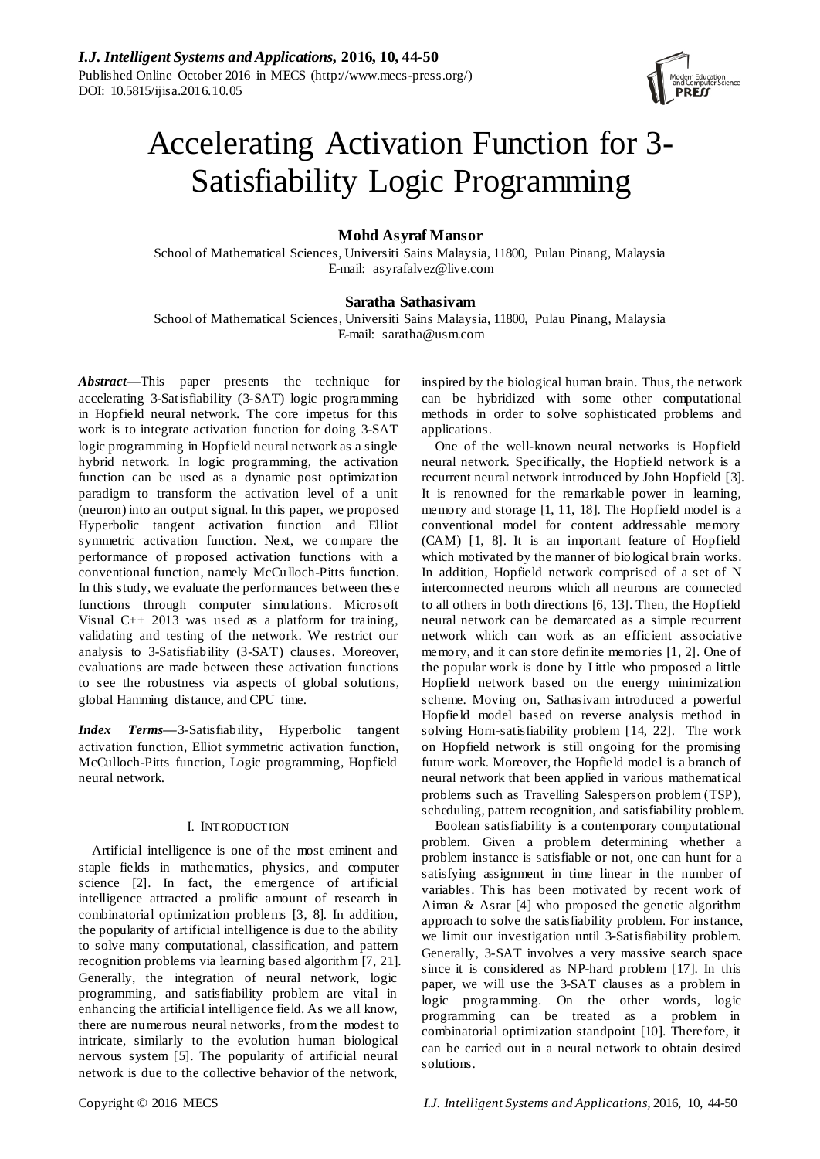

# Accelerating Activation Function for 3- Satisfiability Logic Programming

# **Mohd Asyraf Mansor**

School of Mathematical Sciences, Universiti Sains Malaysia, 11800, Pulau Pinang, Malaysia E-mail: asyrafalvez@live.com

# **Saratha Sathasivam**

School of Mathematical Sciences, Universiti Sains Malaysia, 11800, Pulau Pinang, Malaysia E-mail: saratha@usm.com

*Abstract***—**This paper presents the technique for accelerating 3-Satisfiability (3-SAT) logic programming in Hopfield neural network. The core impetus for this work is to integrate activation function for doing 3-SAT logic programming in Hopfield neural network as a single hybrid network. In logic programming, the activation function can be used as a dynamic post optimization paradigm to transform the activation level of a unit (neuron) into an output signal. In this paper, we proposed Hyperbolic tangent activation function and Elliot symmetric activation function. Next, we compare the performance of proposed activation functions with a conventional function, namely McCu lloch-Pitts function. In this study, we evaluate the performances between these functions through computer simulations. Microsoft Visual C++ 2013 was used as a platform for training, validating and testing of the network. We restrict our analysis to 3-Satisfiability (3-SAT) clauses. Moreover, evaluations are made between these activation functions to see the robustness via aspects of global solutions, global Hamming distance, and CPU time.

*Index Terms***—**3-Satisfiability, Hyperbolic tangent activation function, Elliot symmetric activation function, McCulloch-Pitts function, Logic programming, Hopfield neural network.

# I. INTRODUCTION

Artificial intelligence is one of the most eminent and staple fields in mathematics, physics, and computer science [2]. In fact, the emergence of artificial intelligence attracted a prolific amount of research in combinatorial optimization problems [3, 8]. In addition, the popularity of artificial intelligence is due to the ability to solve many computational, classification, and pattern recognition problems via learning based algorithm [7, 21]. Generally, the integration of neural network, logic programming, and satisfiability problem are vital in enhancing the artificial intelligence field. As we all know, there are numerous neural networks, from the modest to intricate, similarly to the evolution human biological nervous system [5]. The popularity of artificial neural network is due to the collective behavior of the network,

inspired by the biological human brain. Thus, the network can be hybridized with some other computational methods in order to solve sophisticated problems and applications.

One of the well-known neural networks is Hopfield neural network. Specifically, the Hopfield network is a recurrent neural network introduced by John Hopfield [3]. It is renowned for the remarkable power in learning, memory and storage [1, 11, 18]. The Hopfield model is a conventional model for content addressable memory (CAM) [1, 8]. It is an important feature of Hopfield which motivated by the manner of biological brain works. In addition, Hopfield network comprised of a set of N interconnected neurons which all neurons are connected to all others in both directions [6, 13]. Then, the Hopfield neural network can be demarcated as a simple recurrent network which can work as an efficient associative memory, and it can store definite memories [1, 2]. One of the popular work is done by Little who proposed a little Hopfield network based on the energy minimization scheme. Moving on, Sathasivam introduced a powerful Hopfield model based on reverse analysis method in solving Horn-satisfiability problem [14, 22]. The work on Hopfield network is still ongoing for the promising future work. Moreover, the Hopfield model is a branch of neural network that been applied in various mathematical problems such as Travelling Salesperson problem (TSP), scheduling, pattern recognition, and satisfiability problem.

Boolean satisfiability is a contemporary computational problem. Given a problem determining whether a problem instance is satisfiable or not, one can hunt for a satisfying assignment in time linear in the number of variables. This has been motivated by recent work of Aiman & Asrar [4] who proposed the genetic algorithm approach to solve the satisfiability problem. For instance, we limit our investigation until 3-Satisfiability problem. Generally, 3-SAT involves a very massive search space since it is considered as NP-hard problem [17]. In this paper, we will use the 3-SAT clauses as a problem in logic programming. On the other words, logic programming can be treated as a problem in combinatorial optimization standpoint [10]. Therefore, it can be carried out in a neural network to obtain desired solutions.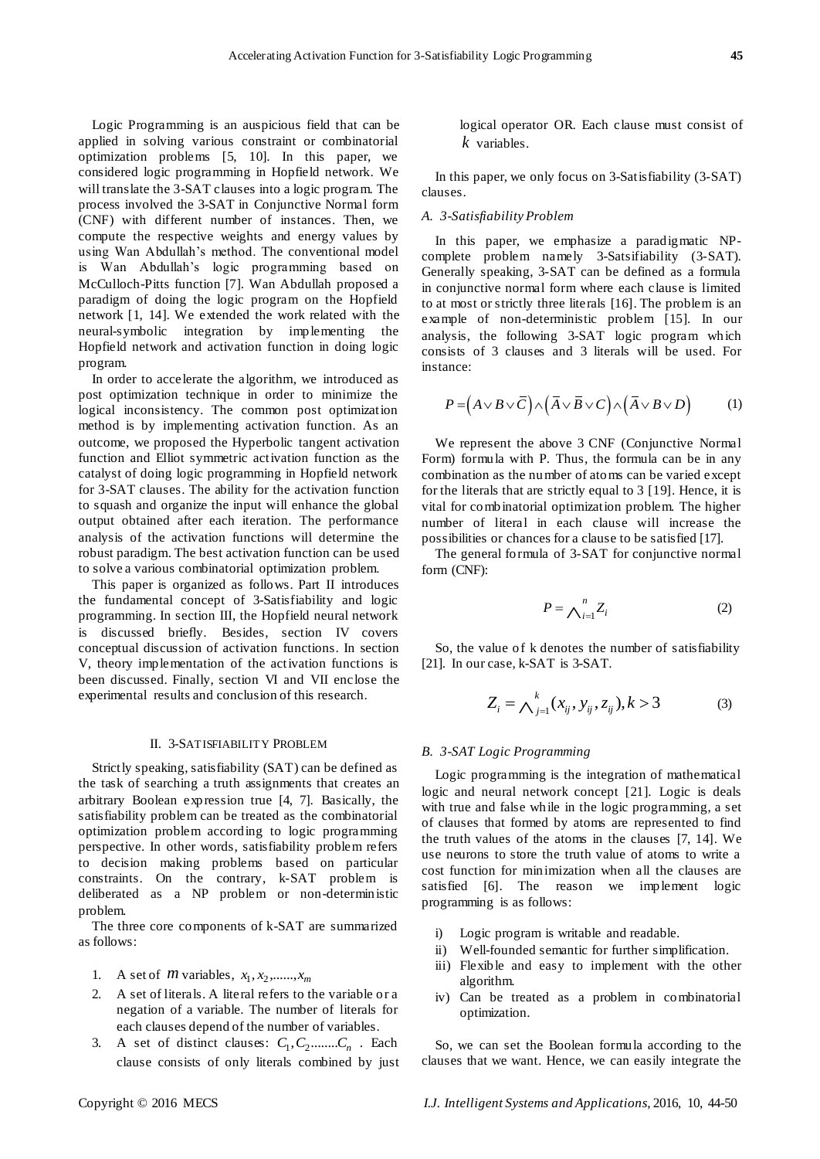Logic Programming is an auspicious field that can be applied in solving various constraint or combinatorial optimization problems [5, 10]. In this paper, we considered logic programming in Hopfield network. We will translate the 3-SAT clauses into a logic program. The process involved the 3-SAT in Conjunctive Normal form (CNF) with different number of instances. Then, we compute the respective weights and energy values by using Wan Abdullah's method. The conventional model is Wan Abdullah's logic programming based on McCulloch-Pitts function [7]. Wan Abdullah proposed a paradigm of doing the logic program on the Hopfield network [1, 14]. We extended the work related with the neural-symbolic integration by implementing the Hopfield network and activation function in doing logic program.

In order to accelerate the algorithm, we introduced as post optimization technique in order to minimize the logical inconsistency. The common post optimization method is by implementing activation function. As an outcome, we proposed the Hyperbolic tangent activation function and Elliot symmetric activation function as the catalyst of doing logic programming in Hopfield network for 3-SAT clauses. The ability for the activation function to squash and organize the input will enhance the global output obtained after each iteration. The performance analysis of the activation functions will determine the robust paradigm. The best activation function can be used to solve a various combinatorial optimization problem.

This paper is organized as follows. Part II introduces the fundamental concept of 3-Satisfiability and logic programming. In section III, the Hopfield neural network is discussed briefly. Besides, section IV covers conceptual discussion of activation functions. In section V, theory implementation of the activation functions is been discussed. Finally, section VI and VII enclose the experimental results and conclusion of this research.

#### II. 3-SATISFIABILITY PROBLEM

Strictly speaking, satisfiability (SAT) can be defined as the task of searching a truth assignments that creates an arbitrary Boolean expression true [4, 7]. Basically, the satisfiability problem can be treated as the combinatorial optimization problem according to logic programming perspective. In other words, satisfiability problem refers to decision making problems based on particular constraints. On the contrary, k-SAT problem is deliberated as a NP problem or non-deterministic problem.

The three core components of k-SAT are summarized as follows:

- 1. A set of *m* variables,  $x_1, x_2, \ldots, x_m$
- 2. A set of literals. A literal refers to the variable or a negation of a variable. The number of literals for each clauses depend of the number of variables.
- 3. A set of distinct clauses:  $C_1, C_2, \ldots, C_n$ . Each clause consists of only literals combined by just

logical operator OR. Each clause must consist of *k* variables.

In this paper, we only focus on 3-Satisfiability (3-SAT) clauses.

### *A. 3-Satisfiability Problem*

In this paper, we emphasize a paradigmatic NPcomplete problem namely 3-Satsifiability (3-SAT). Generally speaking, 3-SAT can be defined as a formula in conjunctive normal form where each clause is limited to at most or strictly three literals [16]. The problem is an example of non-deterministic problem [15]. In our analysis, the following 3-SAT logic program which consists of 3 clauses and 3 literals will be used. For instance:

$$
P = (A \lor B \lor \overline{C}) \land (\overline{A} \lor \overline{B} \lor C) \land (\overline{A} \lor B \lor D) \tag{1}
$$

We represent the above 3 CNF (Conjunctive Normal Form) formula with P. Thus, the formula can be in any combination as the number of atoms can be varied except for the literals that are strictly equal to 3 [19]. Hence, it is vital for combinatorial optimization problem. The higher number of literal in each clause will increase the possibilities or chances for a clause to be satisfied [17].

The general formula of 3-SAT for conjunctive normal form (CNF):

$$
P = \bigwedge_{i=1}^{n} Z_i \tag{2}
$$

So, the value of k denotes the number of satisfiability [21]. In our case, k-SAT is 3-SAT.

$$
Z_i = \bigwedge_{j=1}^k (x_{ij}, y_{ij}, z_{ij}), k > 3
$$
 (3)

#### *B. 3-SAT Logic Programming*

Logic programming is the integration of mathematical logic and neural network concept [21]. Logic is deals with true and false while in the logic programming, a set of clauses that formed by atoms are represented to find the truth values of the atoms in the clauses [7, 14]. We use neurons to store the truth value of atoms to write a cost function for minimization when all the clauses are satisfied [6]. The reason we implement logic programming is as follows:

- i) Logic program is writable and readable.
- ii) Well-founded semantic for further simplification.
- iii) Flexible and easy to implement with the other algorithm.
- iv) Can be treated as a problem in combinatorial optimization.

So, we can set the Boolean formula according to the clauses that we want. Hence, we can easily integrate the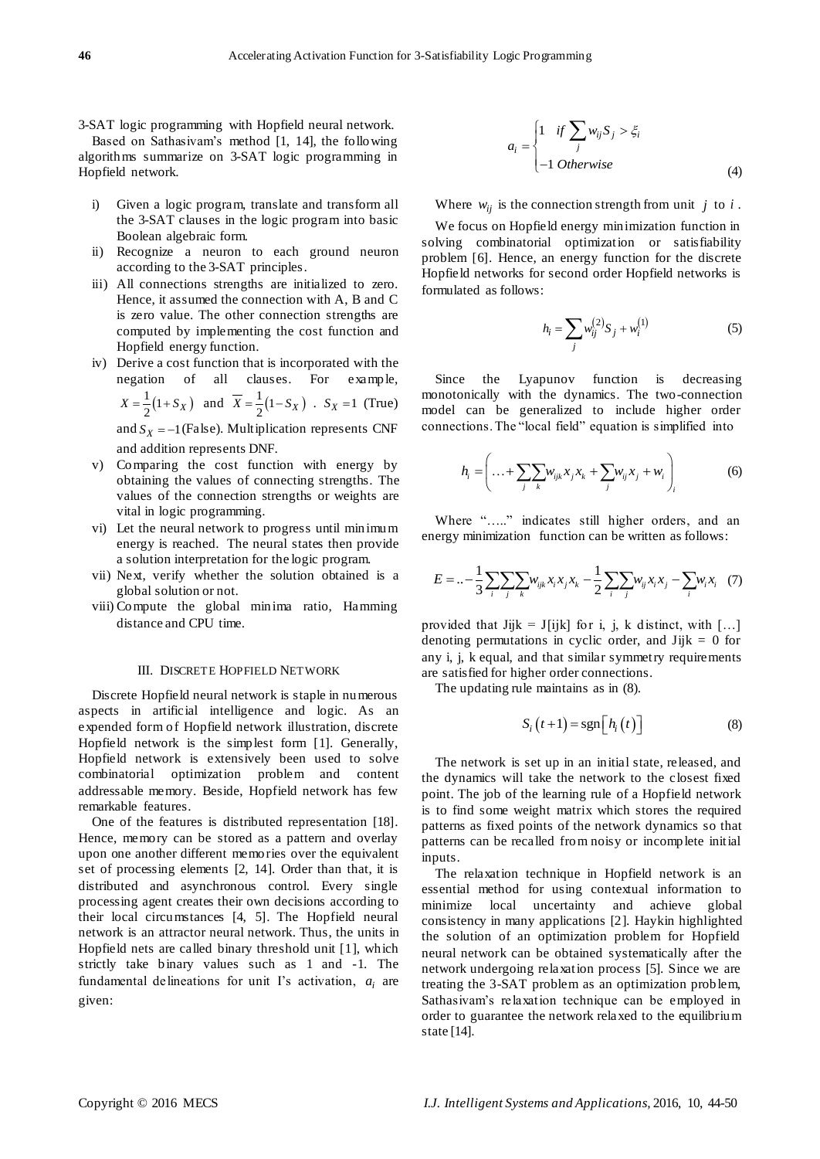3-SAT logic programming with Hopfield neural network. Based on Sathasivam's method [1, 14], the following

algorithms summarize on 3-SAT logic programming in Hopfield network.

- i) Given a logic program, translate and transform all the 3-SAT clauses in the logic program into basic Boolean algebraic form.
- ii) Recognize a neuron to each ground neuron according to the 3-SAT principles.
- iii) All connections strengths are initialized to zero. Hence, it assumed the connection with A, B and C is zero value. The other connection strengths are computed by implementing the cost function and Hopfield energy function.
- iv) Derive a cost function that is incorporated with the negation of all clauses. For example,  $X = \frac{1}{2}(1 + S_X)$  and  $\overline{X} = \frac{1}{2}(1 - S_X)$ .  $S_X = 1$  (True)

and  $S_X = -1$  (False). Multiplication represents CNF and addition represents DNF.

- v) Comparing the cost function with energy by obtaining the values of connecting strengths. The values of the connection strengths or weights are vital in logic programming.
- vi) Let the neural network to progress until minimum energy is reached. The neural states then provide a solution interpretation for the logic program.
- vii) Next, verify whether the solution obtained is a global solution or not.
- viii) Compute the global minima ratio, Hamming distance and CPU time.

#### III. DISCRETE HOPFIELD NETWORK

Discrete Hopfield neural network is staple in numerous aspects in artificial intelligence and logic. As an expended form of Hopfield network illustration, discrete Hopfield network is the simplest form [1]. Generally, Hopfield network is extensively been used to solve combinatorial optimization problem and content addressable memory. Beside, Hopfield network has few remarkable features.

One of the features is distributed representation [18]. Hence, memory can be stored as a pattern and overlay upon one another different memories over the equivalent set of processing elements [2, 14]. Order than that, it is distributed and asynchronous control. Every single processing agent creates their own decisions according to their local circumstances [4, 5]. The Hopfield neural network is an attractor neural network. Thus, the units in Hopfield nets are called binary threshold unit [1], which strictly take binary values such as 1 and -1. The fundamental delineations for unit I's activation,  $a_i$  are given:

$$
a_i = \begin{cases} 1 & \text{if } \sum_j w_{ij} S_j > \xi_i \\ -1 & \text{Otherwise} \end{cases}
$$
 (4)

Where  $w_{ij}$  is the connection strength from unit  $j$  to  $i$ .

We focus on Hopfield energy minimization function in solving combinatorial optimization or satisfiability problem [6]. Hence, an energy function for the discrete Hopfield networks for second order Hopfield networks is formulated as follows:

$$
h_i = \sum_j w_{ij}^{(2)} S_j + w_i^{(1)}
$$
 (5)

Since the Lyapunov function is decreasing monotonically with the dynamics. The two-connection model can be generalized to include higher order connections. The "local field" equation is simplified into

$$
h_{i} = \left( \dots + \sum_{j} \sum_{k} w_{ijk} x_{j} x_{k} + \sum_{j} w_{ij} x_{j} + w_{i} \right)_{i}
$$
 (6)

Where "....." indicates still higher orders, and an energy minimization function can be written as follows:

$$
E = \dots - \frac{1}{3} \sum_{i} \sum_{j} \sum_{k} w_{ijk} x_i x_j x_k - \frac{1}{2} \sum_{i} \sum_{j} w_{ij} x_i x_j - \sum_{i} w_i x_i
$$
 (7)

provided that Jijk = J[ijk] for i, j, k distinct, with [...] denoting permutations in cyclic order, and  $Jijk = 0$  for any i, j, k equal, and that similar symmetry requirements are satisfied for higher order connections.

The updating rule maintains as in (8).

$$
S_i(t+1) = \text{sgn}\Big[h_i(t)\Big]
$$
 (8)

The network is set up in an initial state, released, and the dynamics will take the network to the closest fixed point. The job of the learning rule of a Hopfield network is to find some weight matrix which stores the required patterns as fixed points of the network dynamics so that patterns can be recalled from noisy or incomplete initial inputs.

The relaxation technique in Hopfield network is an essential method for using contextual information to minimize local uncertainty and achieve global consistency in many applications [2]. Haykin highlighted the solution of an optimization problem for Hopfield neural network can be obtained systematically after the network undergoing relaxation process [5]. Since we are treating the 3-SAT problem as an optimization problem, Sathasivam's relaxation technique can be employed in order to guarantee the network relaxed to the equilibrium state [14].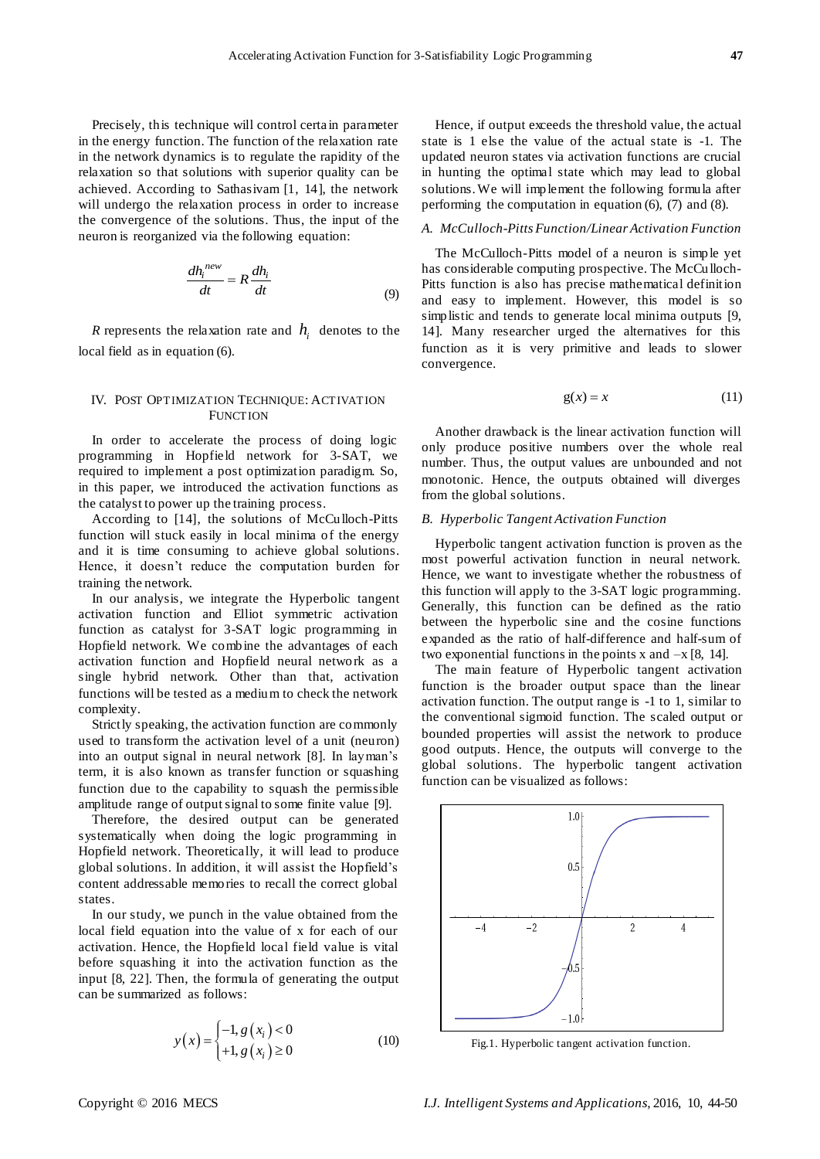Precisely, this technique will control certa in parameter in the energy function. The function of the relaxation rate in the network dynamics is to regulate the rapidity of the relaxation so that solutions with superior quality can be achieved. According to Sathasivam [1, 14], the network will undergo the relaxation process in order to increase the convergence of the solutions. Thus, the input of the neuron is reorganized via the following equation:

$$
\frac{dh_i^{new}}{dt} = R \frac{dh_i}{dt}
$$
 (9)

*R* represents the relaxation rate and  $h_i$  denotes to the local field as in equation (6).

# IV. POST OPTIMIZATION TECHNIQUE: ACTIVATION **FUNCTION**

In order to accelerate the process of doing logic programming in Hopfield network for 3-SAT, we required to implement a post optimization paradigm. So, in this paper, we introduced the activation functions as the catalyst to power up the training process.

According to [14], the solutions of McCulloch-Pitts function will stuck easily in local minima of the energy and it is time consuming to achieve global solutions. Hence, it doesn't reduce the computation burden for training the network.

In our analysis, we integrate the Hyperbolic tangent activation function and Elliot symmetric activation function as catalyst for 3-SAT logic programming in Hopfield network. We combine the advantages of each activation function and Hopfield neural network as a single hybrid network. Other than that, activation functions will be tested as a medium to check the network complexity.

Strictly speaking, the activation function are commonly used to transform the activation level of a unit (neuron) into an output signal in neural network [8]. In layman's term, it is also known as transfer function or squashing function due to the capability to squash the permissible amplitude range of output signal to some finite value [9].

Therefore, the desired output can be generated systematically when doing the logic programming in Hopfield network. Theoretically, it will lead to produce global solutions. In addition, it will assist the Hopfield's content addressable memories to recall the correct global states.

In our study, we punch in the value obtained from the local field equation into the value of x for each of our activation. Hence, the Hopfield local field value is vital before squashing it into the activation function as the input [8, 22]. Then, the formula of generating the output can be summarized as follows:

$$
y(x) = \begin{cases} -1, g(x_i) < 0\\ +1, g(x_i) \ge 0 \end{cases}
$$
 (10)

Hence, if output exceeds the threshold value, the actual state is 1 else the value of the actual state is -1. The updated neuron states via activation functions are crucial in hunting the optimal state which may lead to global solutions.We will implement the following formula after performing the computation in equation (6), (7) and (8).

# *A. McCulloch-Pitts Function/Linear Activation Function*

The McCulloch-Pitts model of a neuron is simple yet has considerable computing prospective. The McCulloch-Pitts function is also has precise mathematical definition and easy to implement. However, this model is so simplistic and tends to generate local minima outputs [9, 14]. Many researcher urged the alternatives for this function as it is very primitive and leads to slower convergence.

$$
g(x) = x \tag{11}
$$

Another drawback is the linear activation function will only produce positive numbers over the whole real number. Thus, the output values are unbounded and not monotonic. Hence, the outputs obtained will diverges from the global solutions.

#### *B. Hyperbolic Tangent Activation Function*

Hyperbolic tangent activation function is proven as the most powerful activation function in neural network. Hence, we want to investigate whether the robustness of this function will apply to the 3-SAT logic programming. Generally, this function can be defined as the ratio between the hyperbolic sine and the cosine functions expanded as the ratio of half-difference and half-sum of two exponential functions in the points  $x$  and  $-x$  [8, 14].

The main feature of Hyperbolic tangent activation function is the broader output space than the linear activation function. The output range is -1 to 1, similar to the conventional sigmoid function. The scaled output or bounded properties will assist the network to produce good outputs. Hence, the outputs will converge to the global solutions. The hyperbolic tangent activation function can be visualized as follows:



Fig.1. Hyperbolic tangent activation function.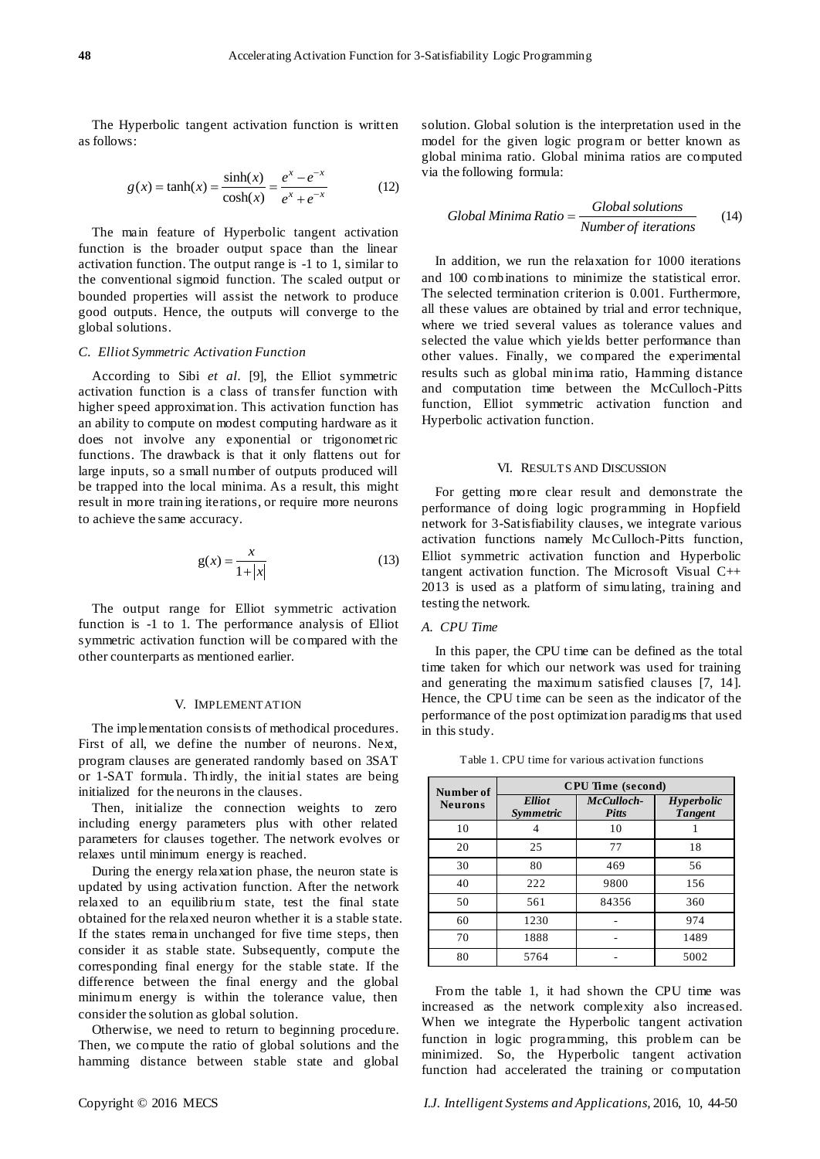The Hyperbolic tangent activation function is written as follows:

$$
g(x) = \tanh(x) = \frac{\sinh(x)}{\cosh(x)} = \frac{e^x - e^{-x}}{e^x + e^{-x}}
$$
(12)

The main feature of Hyperbolic tangent activation function is the broader output space than the linear activation function. The output range is -1 to 1, similar to the conventional sigmoid function. The scaled output or bounded properties will assist the network to produce good outputs. Hence, the outputs will converge to the global solutions.

#### *C. Elliot Symmetric Activation Function*

According to Sibi *et al.* [9], the Elliot symmetric activation function is a class of transfer function with higher speed approximation. This activation function has an ability to compute on modest computing hardware as it does not involve any exponential or trigonometric functions. The drawback is that it only flattens out for large inputs, so a small number of outputs produced will be trapped into the local minima. As a result, this might result in more training iterations, or require more neurons to achieve the same accuracy.

$$
g(x) = \frac{x}{1+|x|}
$$
 (13)

The output range for Elliot symmetric activation function is -1 to 1. The performance analysis of Elliot symmetric activation function will be compared with the other counterparts as mentioned earlier.

#### V. IMPLEMENTATION

The implementation consists of methodical procedures. First of all, we define the number of neurons. Next, program clauses are generated randomly based on 3SAT or 1-SAT formula. Thirdly, the initial states are being initialized for the neurons in the clauses.

Then, initialize the connection weights to zero including energy parameters plus with other related parameters for clauses together. The network evolves or relaxes until minimum energy is reached.

During the energy relaxation phase, the neuron state is updated by using activation function. After the network relaxed to an equilibrium state, test the final state obtained for the relaxed neuron whether it is a stable state. If the states remain unchanged for five time steps, then consider it as stable state. Subsequently, compute the corresponding final energy for the stable state. If the difference between the final energy and the global minimum energy is within the tolerance value, then consider the solution as global solution.

Otherwise, we need to return to beginning procedure. Then, we compute the ratio of global solutions and the hamming distance between stable state and global solution. Global solution is the interpretation used in the model for the given logic program or better known as global minima ratio. Global minima ratios are computed via the following formula:

Global Minima Ratio = 
$$
\frac{Global solutions}{Number of iterations}
$$
 (14)

In addition, we run the relaxation for 1000 iterations and 100 combinations to minimize the statistical error. The selected termination criterion is 0.001. Furthermore, all these values are obtained by trial and error technique, where we tried several values as tolerance values and selected the value which yields better performance than other values. Finally, we compared the experimental results such as global minima ratio, Hamming distance and computation time between the McCulloch-Pitts function, Elliot symmetric activation function and Hyperbolic activation function.

# VI. RESULTS AND DISCUSSION

For getting more clear result and demonstrate the performance of doing logic programming in Hopfield network for 3-Satisfiability clauses, we integrate various activation functions namely McCulloch-Pitts function, Elliot symmetric activation function and Hyperbolic tangent activation function. The Microsoft Visual C++ 2013 is used as a platform of simulating, training and testing the network.

# *A. CPU Time*

In this paper, the CPU time can be defined as the total time taken for which our network was used for training and generating the maximum satisfied clauses [7, 14]. Hence, the CPU time can be seen as the indicator of the performance of the post optimization paradigms that used in this study.

**Number of Neurons CPU Time (second)** *Elliot Symmetric McCulloch-Pitts Hyperbolic Tangent* 10 1 10 1 20 25 77 18 30 80 469 56 40 222 9800 156 50 561 84356 360 60 1230 - 974 70 1888 - 1489 80 5764 - 5002

Table 1. CPU time for various activation functions

From the table 1, it had shown the CPU time was increased as the network complexity also increased. When we integrate the Hyperbolic tangent activation function in logic programming, this problem can be minimized. So, the Hyperbolic tangent activation function had accelerated the training or computation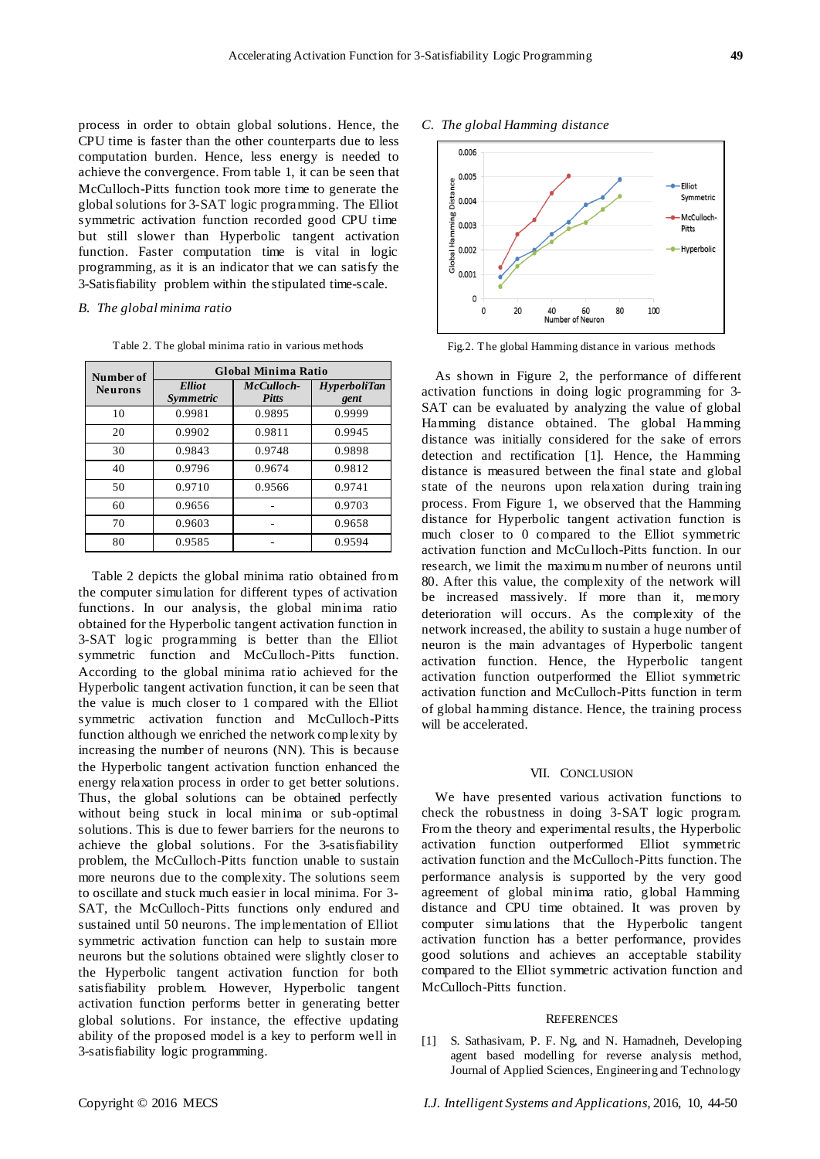process in order to obtain global solutions. Hence, the CPU time is faster than the other counterparts due to less computation burden. Hence, less energy is needed to achieve the convergence. From table 1, it can be seen that McCulloch-Pitts function took more time to generate the global solutions for 3-SAT logic programming. The Elliot symmetric activation function recorded good CPU time but still slower than Hyperbolic tangent activation function. Faster computation time is vital in logic programming, as it is an indicator that we can satisfy the 3-Satisfiability problem within the stipulated time-scale.

#### *B. The global minima ratio*

Table 2. The global minima ratio in various methods

| Number of<br><b>Neurons</b> | <b>Global Minima Ratio</b> |                            |                      |
|-----------------------------|----------------------------|----------------------------|----------------------|
|                             | <b>Elliot</b><br>Symmetric | McCulloch-<br><b>Pitts</b> | HyperboliTan<br>gent |
| 10                          | 0.9981                     | 0.9895                     | 0.9999               |
| 20                          | 0.9902                     | 0.9811                     | 0.9945               |
| 30                          | 0.9843                     | 0.9748                     | 0.9898               |
| 40                          | 0.9796                     | 0.9674                     | 0.9812               |
| 50                          | 0.9710                     | 0.9566                     | 0.9741               |
| 60                          | 0.9656                     |                            | 0.9703               |
| 70                          | 0.9603                     |                            | 0.9658               |
| 80                          | 0.9585                     |                            | 0.9594               |

Table 2 depicts the global minima ratio obtained from the computer simulation for different types of activation functions. In our analysis, the global minima ratio obtained for the Hyperbolic tangent activation function in 3-SAT logic programming is better than the Elliot symmetric function and McCulloch-Pitts function. According to the global minima ratio achieved for the Hyperbolic tangent activation function, it can be seen that the value is much closer to 1 compared with the Elliot symmetric activation function and McCulloch-Pitts function although we enriched the network complexity by increasing the number of neurons (NN). This is because the Hyperbolic tangent activation function enhanced the energy relaxation process in order to get better solutions. Thus, the global solutions can be obtained perfectly without being stuck in local minima or sub-optimal solutions. This is due to fewer barriers for the neurons to achieve the global solutions. For the 3-satisfiability problem, the McCulloch-Pitts function unable to sustain more neurons due to the complexity. The solutions seem to oscillate and stuck much easier in local minima. For 3- SAT, the McCulloch-Pitts functions only endured and sustained until 50 neurons. The implementation of Elliot symmetric activation function can help to sustain more neurons but the solutions obtained were slightly closer to the Hyperbolic tangent activation function for both satisfiability problem. However, Hyperbolic tangent activation function performs better in generating better global solutions. For instance, the effective updating ability of the proposed model is a key to perform well in 3-satisfiability logic programming.

# *C. The global Hamming distance*



Fig.2. The global Hamming distance in various methods

As shown in Figure 2, the performance of different activation functions in doing logic programming for 3- SAT can be evaluated by analyzing the value of global Hamming distance obtained. The global Hamming distance was initially considered for the sake of errors detection and rectification [1]. Hence, the Hamming distance is measured between the final state and global state of the neurons upon relaxation during training process. From Figure 1, we observed that the Hamming distance for Hyperbolic tangent activation function is much closer to 0 compared to the Elliot symmetric activation function and McCulloch-Pitts function. In our research, we limit the maximum number of neurons until 80. After this value, the complexity of the network will be increased massively. If more than it, memory deterioration will occurs. As the complexity of the network increased, the ability to sustain a huge number of neuron is the main advantages of Hyperbolic tangent activation function. Hence, the Hyperbolic tangent activation function outperformed the Elliot symmetric activation function and McCulloch-Pitts function in term of global hamming distance. Hence, the training process will be accelerated.

#### VII. CONCLUSION

We have presented various activation functions to check the robustness in doing 3-SAT logic program. From the theory and experimental results, the Hyperbolic activation function outperformed Elliot symmetric activation function and the McCulloch-Pitts function. The performance analysis is supported by the very good agreement of global minima ratio, global Hamming distance and CPU time obtained. It was proven by computer simu lations that the Hyperbolic tangent activation function has a better performance, provides good solutions and achieves an acceptable stability compared to the Elliot symmetric activation function and McCulloch-Pitts function.

#### **REFERENCES**

[1] S. Sathasivam, P. F. Ng, and N. Hamadneh, Developing agent based modelling for reverse analysis method, Journal of Applied Sciences, Engineering and Technology